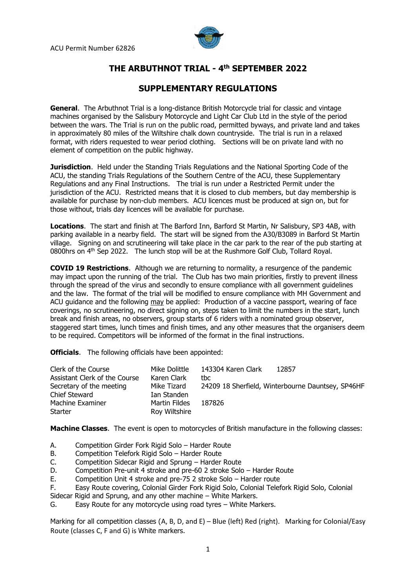

## **THE ARBUTHNOT TRIAL - 4 th SEPTEMBER 2022**

## **SUPPLEMENTARY REGULATIONS**

**General**. The Arbuthnot Trial is a long-distance British Motorcycle trial for classic and vintage machines organised by the Salisbury Motorcycle and Light Car Club Ltd in the style of the period between the wars. The Trial is run on the public road, permitted byways, and private land and takes in approximately 80 miles of the Wiltshire chalk down countryside. The trial is run in a relaxed format, with riders requested to wear period clothing. Sections will be on private land with no element of competition on the public highway.

**Jurisdiction**. Held under the Standing Trials Regulations and the National Sporting Code of the ACU, the standing Trials Regulations of the Southern Centre of the ACU, these Supplementary Regulations and any Final Instructions. The trial is run under a Restricted Permit under the jurisdiction of the ACU. Restricted means that it is closed to club members, but day membership is available for purchase by non-club members. ACU licences must be produced at sign on, but for those without, trials day licences will be available for purchase.

**Locations**. The start and finish at The Barford Inn, Barford St Martin, Nr Salisbury, SP3 4AB, with parking available in a nearby field. The start will be signed from the A30/B3089 in Barford St Martin village. Signing on and scrutineering will take place in the car park to the rear of the pub starting at 0800hrs on 4<sup>th</sup> Sep 2022. The lunch stop will be at the Rushmore Golf Club, Tollard Royal.

**COVID 19 Restrictions**. Although we are returning to normality, a resurgence of the pandemic may impact upon the running of the trial. The Club has two main priorities, firstly to prevent illness through the spread of the virus and secondly to ensure compliance with all government guidelines and the law. The format of the trial will be modified to ensure compliance with MH Government and ACU guidance and the following may be applied: Production of a vaccine passport, wearing of face coverings, no scrutineering, no direct signing on, steps taken to limit the numbers in the start, lunch break and finish areas, no observers, group starts of 6 riders with a nominated group observer, staggered start times, lunch times and finish times, and any other measures that the organisers deem to be required. Competitors will be informed of the format in the final instructions.

**Officials.** The following officials have been appointed:

| Clerk of the Course           | Mike Dolittle                  | 143304 Karen Clark                                |
|-------------------------------|--------------------------------|---------------------------------------------------|
| Assistant Clerk of the Course | Karen Clark                    | 12857                                             |
| Secretary of the meeting      | Mike Tizard                    | tbc                                               |
| <b>Chief Steward</b>          | Ian Standen                    | 24209 18 Sherfield, Winterbourne Dauntsey, SP46HF |
| Machine Examiner<br>Starter   | Martin Fildes<br>Roy Wiltshire | 187826                                            |

**Machine Classes**. The event is open to motorcycles of British manufacture in the following classes:

- A. Competition Girder Fork Rigid Solo Harder Route
- B. Competition Telefork Rigid Solo Harder Route
- C. Competition Sidecar Rigid and Sprung Harder Route
- D. Competition Pre-unit 4 stroke and pre-60 2 stroke Solo Harder Route
- E. Competition Unit 4 stroke and pre-75 2 stroke Solo Harder route
- F. Easy Route covering, Colonial Girder Fork Rigid Solo, Colonial Telefork Rigid Solo, Colonial
- Sidecar Rigid and Sprung, and any other machine White Markers.

G. Easy Route for any motorcycle using road tyres – White Markers.

Marking for all competition classes (A, B, D, and E) – Blue (left) Red (right). Marking for Colonial/Easy Route (classes C, F and G) is White markers.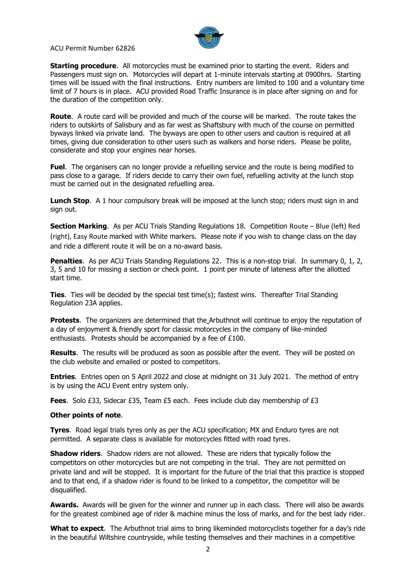

ACU Permit Number 62826

**Starting procedure**. All motorcycles must be examined prior to starting the event. Riders and Passengers must sign on. Motorcycles will depart at 1-minute intervals starting at 0900hrs. Starting times will be issued with the final instructions. Entry numbers are limited to 100 and a voluntary time limit of 7 hours is in place. ACU provided Road Traffic Insurance is in place after signing on and for the duration of the competition only.

**Route**. A route card will be provided and much of the course will be marked. The route takes the riders to outskirts of Salisbury and as far west as Shaftsbury with much of the course on permitted byways linked via private land. The byways are open to other users and caution is required at all times, giving due consideration to other users such as walkers and horse riders. Please be polite, considerate and stop your engines near horses.

**Fuel**. The organisers can no longer provide a refuelling service and the route is being modified to pass close to a garage. If riders decide to carry their own fuel, refuelling activity at the lunch stop must be carried out in the designated refuelling area.

**Lunch Stop.** A 1 hour compulsory break will be imposed at the lunch stop; riders must sign in and sign out.

**Section Marking**. As per ACU Trials Standing Regulations 18. Competition Route – Blue (left) Red (right), Easy Route marked with White markers. Please note if you wish to change class on the day and ride a different route it will be on a no-award basis.

**Penalties.** As per ACU Trials Standing Regulations 22. This is a non-stop trial. In summary 0, 1, 2, 3, 5 and 10 for missing a section or check point. 1 point per minute of lateness after the allotted start time.

**Ties**. Ties will be decided by the special test time(s); fastest wins. Thereafter Trial Standing Regulation 23A applies.

**Protests**. The organizers are determined that the Arbuthnot will continue to enjoy the reputation of a day of enjoyment & friendly sport for classic motorcycles in the company of like-minded enthusiasts. Protests should be accompanied by a fee of £100.

**Results**. The results will be produced as soon as possible after the event. They will be posted on the club website and emailed or posted to competitors.

**Entries**. Entries open on 5 April 2022 and close at midnight on 31 July 2021. The method of entry is by using the ACU Event entry system only.

**Fees**. Solo £33, Sidecar £35, Team £5 each. Fees include club day membership of £3

## **Other points of note**.

**Tyres**. Road legal trials tyres only as per the ACU specification; MX and Enduro tyres are not permitted. A separate class is available for motorcycles fitted with road tyres.

**Shadow riders**. Shadow riders are not allowed. These are riders that typically follow the competitors on other motorcycles but are not competing in the trial. They are not permitted on private land and will be stopped. It is important for the future of the trial that this practice is stopped and to that end, if a shadow rider is found to be linked to a competitor, the competitor will be disqualified.

**Awards.** Awards will be given for the winner and runner up in each class. There will also be awards for the greatest combined age of rider & machine minus the loss of marks, and for the best lady rider.

**What to expect**. The Arbuthnot trial aims to bring likeminded motorcyclists together for a day's ride in the beautiful Wiltshire countryside, while testing themselves and their machines in a competitive